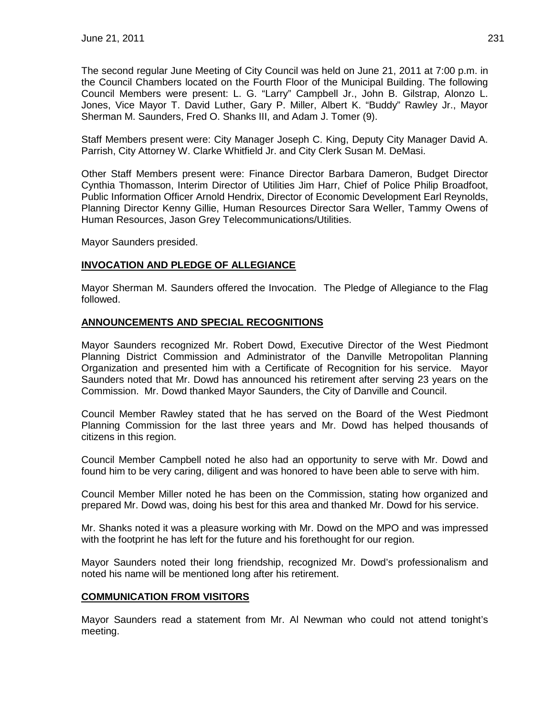The second regular June Meeting of City Council was held on June 21, 2011 at 7:00 p.m. in the Council Chambers located on the Fourth Floor of the Municipal Building. The following Council Members were present: L. G. "Larry" Campbell Jr., John B. Gilstrap, Alonzo L. Jones, Vice Mayor T. David Luther, Gary P. Miller, Albert K. "Buddy" Rawley Jr., Mayor Sherman M. Saunders, Fred O. Shanks III, and Adam J. Tomer (9).

Staff Members present were: City Manager Joseph C. King, Deputy City Manager David A. Parrish, City Attorney W. Clarke Whitfield Jr. and City Clerk Susan M. DeMasi.

Other Staff Members present were: Finance Director Barbara Dameron, Budget Director Cynthia Thomasson, Interim Director of Utilities Jim Harr, Chief of Police Philip Broadfoot, Public Information Officer Arnold Hendrix, Director of Economic Development Earl Reynolds, Planning Director Kenny Gillie, Human Resources Director Sara Weller, Tammy Owens of Human Resources, Jason Grey Telecommunications/Utilities.

Mayor Saunders presided.

## **INVOCATION AND PLEDGE OF ALLEGIANCE**

Mayor Sherman M. Saunders offered the Invocation. The Pledge of Allegiance to the Flag followed.

### **ANNOUNCEMENTS AND SPECIAL RECOGNITIONS**

Mayor Saunders recognized Mr. Robert Dowd, Executive Director of the West Piedmont Planning District Commission and Administrator of the Danville Metropolitan Planning Organization and presented him with a Certificate of Recognition for his service. Mayor Saunders noted that Mr. Dowd has announced his retirement after serving 23 years on the Commission. Mr. Dowd thanked Mayor Saunders, the City of Danville and Council.

Council Member Rawley stated that he has served on the Board of the West Piedmont Planning Commission for the last three years and Mr. Dowd has helped thousands of citizens in this region.

Council Member Campbell noted he also had an opportunity to serve with Mr. Dowd and found him to be very caring, diligent and was honored to have been able to serve with him.

Council Member Miller noted he has been on the Commission, stating how organized and prepared Mr. Dowd was, doing his best for this area and thanked Mr. Dowd for his service.

Mr. Shanks noted it was a pleasure working with Mr. Dowd on the MPO and was impressed with the footprint he has left for the future and his forethought for our region.

Mayor Saunders noted their long friendship, recognized Mr. Dowd's professionalism and noted his name will be mentioned long after his retirement.

### **COMMUNICATION FROM VISITORS**

Mayor Saunders read a statement from Mr. Al Newman who could not attend tonight's meeting.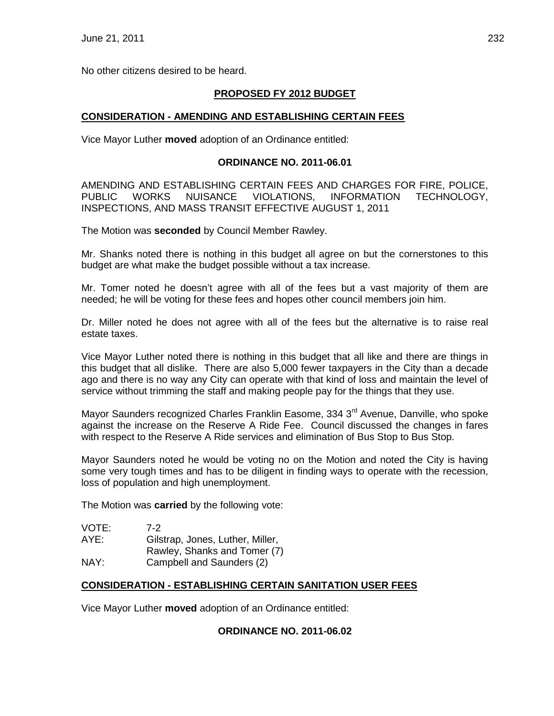No other citizens desired to be heard.

## **PROPOSED FY 2012 BUDGET**

## **CONSIDERATION - AMENDING AND ESTABLISHING CERTAIN FEES**

Vice Mayor Luther **moved** adoption of an Ordinance entitled:

#### **ORDINANCE NO. 2011-06.01**

AMENDING AND ESTABLISHING CERTAIN FEES AND CHARGES FOR FIRE, POLICE, PUBLIC WORKS NUISANCE VIOLATIONS, INFORMATION TECHNOLOGY, INSPECTIONS, AND MASS TRANSIT EFFECTIVE AUGUST 1, 2011

The Motion was **seconded** by Council Member Rawley.

Mr. Shanks noted there is nothing in this budget all agree on but the cornerstones to this budget are what make the budget possible without a tax increase.

Mr. Tomer noted he doesn't agree with all of the fees but a vast majority of them are needed; he will be voting for these fees and hopes other council members join him.

Dr. Miller noted he does not agree with all of the fees but the alternative is to raise real estate taxes.

Vice Mayor Luther noted there is nothing in this budget that all like and there are things in this budget that all dislike. There are also 5,000 fewer taxpayers in the City than a decade ago and there is no way any City can operate with that kind of loss and maintain the level of service without trimming the staff and making people pay for the things that they use.

Mayor Saunders recognized Charles Franklin Easome, 334 3<sup>rd</sup> Avenue, Danville, who spoke against the increase on the Reserve A Ride Fee. Council discussed the changes in fares with respect to the Reserve A Ride services and elimination of Bus Stop to Bus Stop.

Mayor Saunders noted he would be voting no on the Motion and noted the City is having some very tough times and has to be diligent in finding ways to operate with the recession, loss of population and high unemployment.

The Motion was **carried** by the following vote:

| VOTE: | $7-2$                            |
|-------|----------------------------------|
| AYE:  | Gilstrap, Jones, Luther, Miller, |
|       | Rawley, Shanks and Tomer (7)     |
| NAY:  | Campbell and Saunders (2)        |

### **CONSIDERATION - ESTABLISHING CERTAIN SANITATION USER FEES**

Vice Mayor Luther **moved** adoption of an Ordinance entitled:

#### **ORDINANCE NO. 2011-06.02**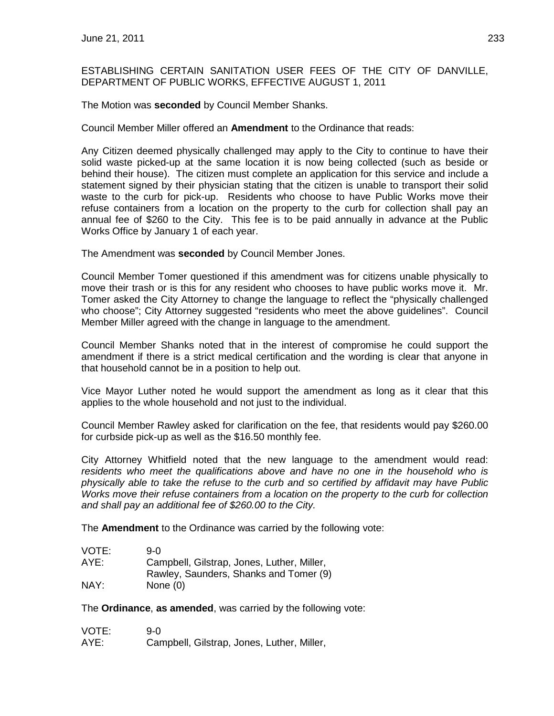## ESTABLISHING CERTAIN SANITATION USER FEES OF THE CITY OF DANVILLE, DEPARTMENT OF PUBLIC WORKS, EFFECTIVE AUGUST 1, 2011

The Motion was **seconded** by Council Member Shanks.

Council Member Miller offered an **Amendment** to the Ordinance that reads:

Any Citizen deemed physically challenged may apply to the City to continue to have their solid waste picked-up at the same location it is now being collected (such as beside or behind their house). The citizen must complete an application for this service and include a statement signed by their physician stating that the citizen is unable to transport their solid waste to the curb for pick-up. Residents who choose to have Public Works move their refuse containers from a location on the property to the curb for collection shall pay an annual fee of \$260 to the City. This fee is to be paid annually in advance at the Public Works Office by January 1 of each year.

The Amendment was **seconded** by Council Member Jones.

Council Member Tomer questioned if this amendment was for citizens unable physically to move their trash or is this for any resident who chooses to have public works move it. Mr. Tomer asked the City Attorney to change the language to reflect the "physically challenged who choose"; City Attorney suggested "residents who meet the above guidelines". Council Member Miller agreed with the change in language to the amendment.

Council Member Shanks noted that in the interest of compromise he could support the amendment if there is a strict medical certification and the wording is clear that anyone in that household cannot be in a position to help out.

Vice Mayor Luther noted he would support the amendment as long as it clear that this applies to the whole household and not just to the individual.

Council Member Rawley asked for clarification on the fee, that residents would pay \$260.00 for curbside pick-up as well as the \$16.50 monthly fee.

City Attorney Whitfield noted that the new language to the amendment would read: *residents who meet the qualifications above and have no one in the household who is physically able to take the refuse to the curb and so certified by affidavit may have Public Works move their refuse containers from a location on the property to the curb for collection and shall pay an additional fee of \$260.00 to the City.*

The **Amendment** to the Ordinance was carried by the following vote:

| VOTE: | 9-0                                        |
|-------|--------------------------------------------|
| AYE:  | Campbell, Gilstrap, Jones, Luther, Miller, |
|       | Rawley, Saunders, Shanks and Tomer (9)     |
| NAY:  | None $(0)$                                 |

The **Ordinance**, **as amended**, was carried by the following vote:

| VOTE: | 9-0                                        |
|-------|--------------------------------------------|
| AYE:  | Campbell, Gilstrap, Jones, Luther, Miller, |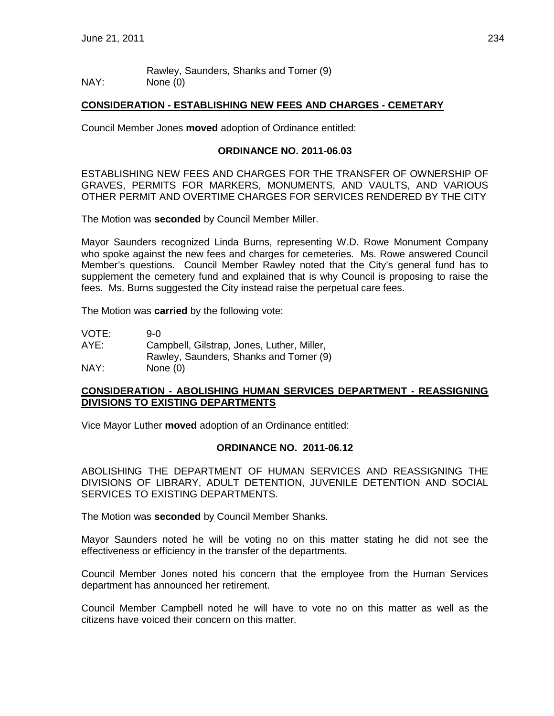Rawley, Saunders, Shanks and Tomer (9) NAY: None (0)

#### **CONSIDERATION - ESTABLISHING NEW FEES AND CHARGES - CEMETARY**

Council Member Jones **moved** adoption of Ordinance entitled:

#### **ORDINANCE NO. 2011-06.03**

ESTABLISHING NEW FEES AND CHARGES FOR THE TRANSFER OF OWNERSHIP OF GRAVES, PERMITS FOR MARKERS, MONUMENTS, AND VAULTS, AND VARIOUS OTHER PERMIT AND OVERTIME CHARGES FOR SERVICES RENDERED BY THE CITY

The Motion was **seconded** by Council Member Miller.

Mayor Saunders recognized Linda Burns, representing W.D. Rowe Monument Company who spoke against the new fees and charges for cemeteries. Ms. Rowe answered Council Member's questions. Council Member Rawley noted that the City's general fund has to supplement the cemetery fund and explained that is why Council is proposing to raise the fees. Ms. Burns suggested the City instead raise the perpetual care fees.

The Motion was **carried** by the following vote:

| VOTE: | 9-0                                        |
|-------|--------------------------------------------|
| AYE:  | Campbell, Gilstrap, Jones, Luther, Miller, |
|       | Rawley, Saunders, Shanks and Tomer (9)     |
| NAY:  | None $(0)$                                 |

#### **CONSIDERATION - ABOLISHING HUMAN SERVICES DEPARTMENT - REASSIGNING DIVISIONS TO EXISTING DEPARTMENTS**

Vice Mayor Luther **moved** adoption of an Ordinance entitled:

#### **ORDINANCE NO. 2011-06.12**

ABOLISHING THE DEPARTMENT OF HUMAN SERVICES AND REASSIGNING THE DIVISIONS OF LIBRARY, ADULT DETENTION, JUVENILE DETENTION AND SOCIAL SERVICES TO EXISTING DEPARTMENTS.

The Motion was **seconded** by Council Member Shanks.

Mayor Saunders noted he will be voting no on this matter stating he did not see the effectiveness or efficiency in the transfer of the departments.

Council Member Jones noted his concern that the employee from the Human Services department has announced her retirement.

Council Member Campbell noted he will have to vote no on this matter as well as the citizens have voiced their concern on this matter.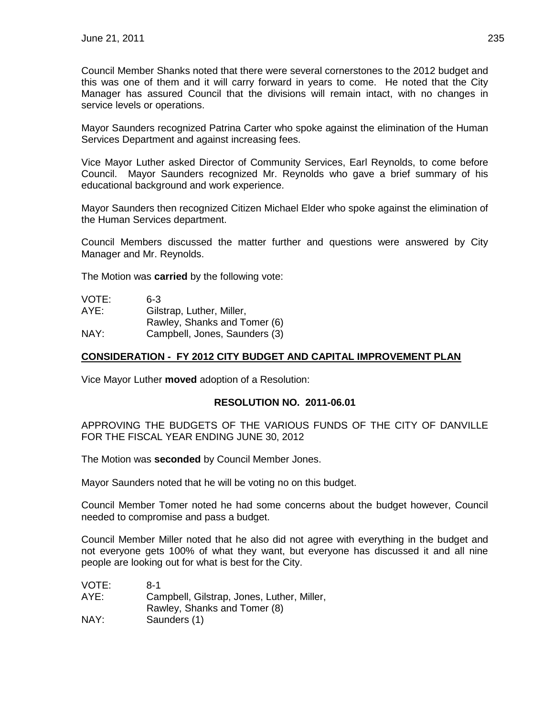Council Member Shanks noted that there were several cornerstones to the 2012 budget and this was one of them and it will carry forward in years to come. He noted that the City Manager has assured Council that the divisions will remain intact, with no changes in service levels or operations.

Mayor Saunders recognized Patrina Carter who spoke against the elimination of the Human Services Department and against increasing fees.

Vice Mayor Luther asked Director of Community Services, Earl Reynolds, to come before Council. Mayor Saunders recognized Mr. Reynolds who gave a brief summary of his educational background and work experience.

Mayor Saunders then recognized Citizen Michael Elder who spoke against the elimination of the Human Services department.

Council Members discussed the matter further and questions were answered by City Manager and Mr. Reynolds.

The Motion was **carried** by the following vote:

| VOTE: | 6-3                           |
|-------|-------------------------------|
| AYE:  | Gilstrap, Luther, Miller,     |
|       | Rawley, Shanks and Tomer (6)  |
| NAY:  | Campbell, Jones, Saunders (3) |

## **CONSIDERATION - FY 2012 CITY BUDGET AND CAPITAL IMPROVEMENT PLAN**

Vice Mayor Luther **moved** adoption of a Resolution:

### **RESOLUTION NO. 2011-06.01**

APPROVING THE BUDGETS OF THE VARIOUS FUNDS OF THE CITY OF DANVILLE FOR THE FISCAL YEAR ENDING JUNE 30, 2012

The Motion was **seconded** by Council Member Jones.

Mayor Saunders noted that he will be voting no on this budget.

Council Member Tomer noted he had some concerns about the budget however, Council needed to compromise and pass a budget.

Council Member Miller noted that he also did not agree with everything in the budget and not everyone gets 100% of what they want, but everyone has discussed it and all nine people are looking out for what is best for the City.

| VOTE: | $8-1$                                      |
|-------|--------------------------------------------|
| AYE:  | Campbell, Gilstrap, Jones, Luther, Miller, |
|       | Rawley, Shanks and Tomer (8)               |
| NAY:  | Saunders (1)                               |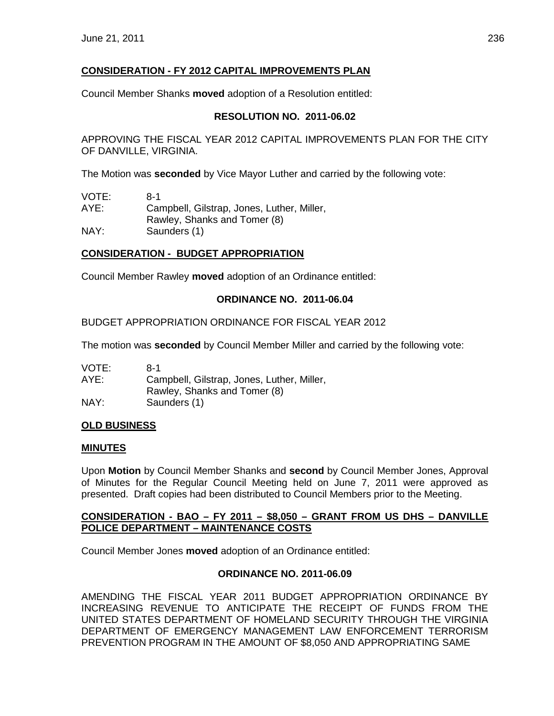# **CONSIDERATION - FY 2012 CAPITAL IMPROVEMENTS PLAN**

Council Member Shanks **moved** adoption of a Resolution entitled:

## **RESOLUTION NO. 2011-06.02**

APPROVING THE FISCAL YEAR 2012 CAPITAL IMPROVEMENTS PLAN FOR THE CITY OF DANVILLE, VIRGINIA.

The Motion was **seconded** by Vice Mayor Luther and carried by the following vote:

| VOTE: | 8-1                                        |
|-------|--------------------------------------------|
| AYE:  | Campbell, Gilstrap, Jones, Luther, Miller, |
|       | Rawley, Shanks and Tomer (8)               |
| NAY:  | Saunders (1)                               |

## **CONSIDERATION - BUDGET APPROPRIATION**

Council Member Rawley **moved** adoption of an Ordinance entitled:

## **ORDINANCE NO. 2011-06.04**

## BUDGET APPROPRIATION ORDINANCE FOR FISCAL YEAR 2012

The motion was **seconded** by Council Member Miller and carried by the following vote:

| VOTE: | 8-1                                        |
|-------|--------------------------------------------|
| AYE:  | Campbell, Gilstrap, Jones, Luther, Miller, |
|       | Rawley, Shanks and Tomer (8)               |
| NAY:  | Saunders (1)                               |

## **OLD BUSINESS**

### **MINUTES**

Upon **Motion** by Council Member Shanks and **second** by Council Member Jones, Approval of Minutes for the Regular Council Meeting held on June 7, 2011 were approved as presented. Draft copies had been distributed to Council Members prior to the Meeting.

### **CONSIDERATION - BAO – FY 2011 – \$8,050 – GRANT FROM US DHS – DANVILLE POLICE DEPARTMENT – MAINTENANCE COSTS**

Council Member Jones **moved** adoption of an Ordinance entitled:

### **ORDINANCE NO. 2011-06.09**

AMENDING THE FISCAL YEAR 2011 BUDGET APPROPRIATION ORDINANCE BY INCREASING REVENUE TO ANTICIPATE THE RECEIPT OF FUNDS FROM THE UNITED STATES DEPARTMENT OF HOMELAND SECURITY THROUGH THE VIRGINIA DEPARTMENT OF EMERGENCY MANAGEMENT LAW ENFORCEMENT TERRORISM PREVENTION PROGRAM IN THE AMOUNT OF \$8,050 AND APPROPRIATING SAME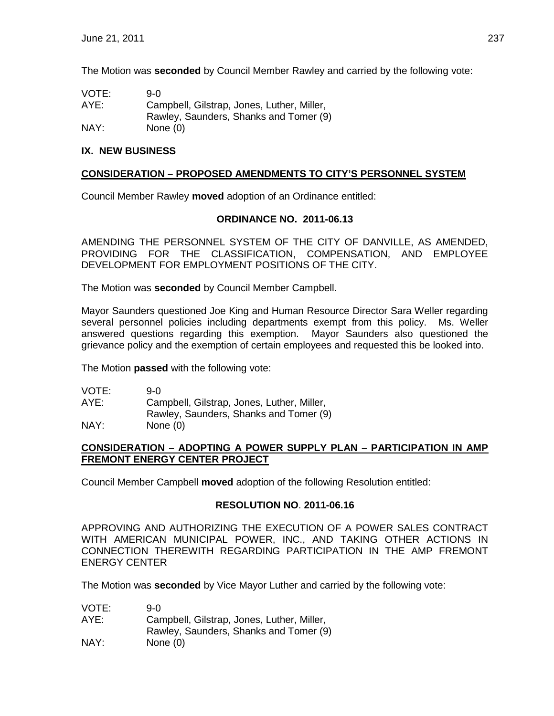The Motion was **seconded** by Council Member Rawley and carried by the following vote:

| VOTE: | 9-0                                        |
|-------|--------------------------------------------|
| AYE:  | Campbell, Gilstrap, Jones, Luther, Miller, |
|       | Rawley, Saunders, Shanks and Tomer (9)     |
| NAY:  | None $(0)$                                 |

## **IX. NEW BUSINESS**

## **CONSIDERATION – PROPOSED AMENDMENTS TO CITY'S PERSONNEL SYSTEM**

Council Member Rawley **moved** adoption of an Ordinance entitled:

### **ORDINANCE NO. 2011-06.13**

AMENDING THE PERSONNEL SYSTEM OF THE CITY OF DANVILLE, AS AMENDED, PROVIDING FOR THE CLASSIFICATION, COMPENSATION, AND EMPLOYEE DEVELOPMENT FOR EMPLOYMENT POSITIONS OF THE CITY.

The Motion was **seconded** by Council Member Campbell.

Mayor Saunders questioned Joe King and Human Resource Director Sara Weller regarding several personnel policies including departments exempt from this policy. Ms. Weller answered questions regarding this exemption. Mayor Saunders also questioned the grievance policy and the exemption of certain employees and requested this be looked into.

The Motion **passed** with the following vote:

| VOTE: | 9-0                                        |
|-------|--------------------------------------------|
| AYE:  | Campbell, Gilstrap, Jones, Luther, Miller, |
|       | Rawley, Saunders, Shanks and Tomer (9)     |
| NAY:  | None $(0)$                                 |

### **CONSIDERATION – ADOPTING A POWER SUPPLY PLAN – PARTICIPATION IN AMP FREMONT ENERGY CENTER PROJECT**

Council Member Campbell **moved** adoption of the following Resolution entitled:

### **RESOLUTION NO**. **2011-06.16**

APPROVING AND AUTHORIZING THE EXECUTION OF A POWER SALES CONTRACT WITH AMERICAN MUNICIPAL POWER, INC., AND TAKING OTHER ACTIONS IN CONNECTION THEREWITH REGARDING PARTICIPATION IN THE AMP FREMONT ENERGY CENTER

The Motion was **seconded** by Vice Mayor Luther and carried by the following vote:

| VOTE: | 9-0.                                       |
|-------|--------------------------------------------|
| AYE:  | Campbell, Gilstrap, Jones, Luther, Miller, |
|       | Rawley, Saunders, Shanks and Tomer (9)     |
| NAY:  | None $(0)$                                 |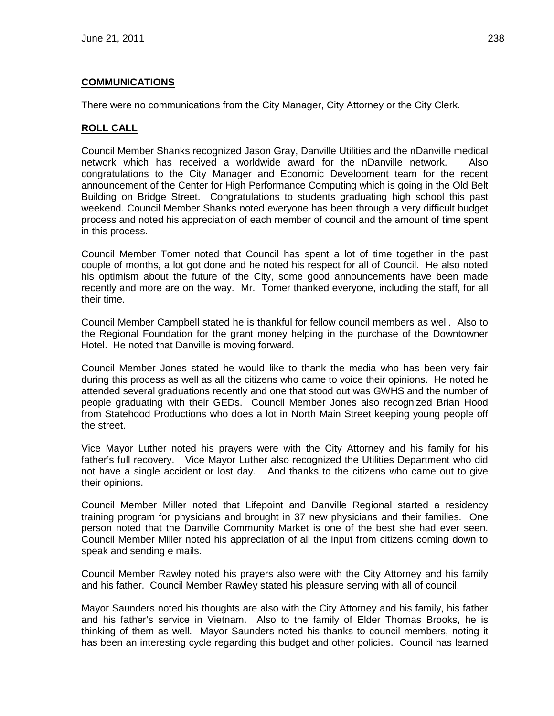## **COMMUNICATIONS**

There were no communications from the City Manager, City Attorney or the City Clerk.

## **ROLL CALL**

Council Member Shanks recognized Jason Gray, Danville Utilities and the nDanville medical network which has received a worldwide award for the nDanville network. Also congratulations to the City Manager and Economic Development team for the recent announcement of the Center for High Performance Computing which is going in the Old Belt Building on Bridge Street. Congratulations to students graduating high school this past weekend. Council Member Shanks noted everyone has been through a very difficult budget process and noted his appreciation of each member of council and the amount of time spent in this process.

Council Member Tomer noted that Council has spent a lot of time together in the past couple of months, a lot got done and he noted his respect for all of Council. He also noted his optimism about the future of the City, some good announcements have been made recently and more are on the way. Mr. Tomer thanked everyone, including the staff, for all their time.

Council Member Campbell stated he is thankful for fellow council members as well. Also to the Regional Foundation for the grant money helping in the purchase of the Downtowner Hotel. He noted that Danville is moving forward.

Council Member Jones stated he would like to thank the media who has been very fair during this process as well as all the citizens who came to voice their opinions. He noted he attended several graduations recently and one that stood out was GWHS and the number of people graduating with their GEDs. Council Member Jones also recognized Brian Hood from Statehood Productions who does a lot in North Main Street keeping young people off the street.

Vice Mayor Luther noted his prayers were with the City Attorney and his family for his father's full recovery. Vice Mayor Luther also recognized the Utilities Department who did not have a single accident or lost day. And thanks to the citizens who came out to give their opinions.

Council Member Miller noted that Lifepoint and Danville Regional started a residency training program for physicians and brought in 37 new physicians and their families. One person noted that the Danville Community Market is one of the best she had ever seen. Council Member Miller noted his appreciation of all the input from citizens coming down to speak and sending e mails.

Council Member Rawley noted his prayers also were with the City Attorney and his family and his father. Council Member Rawley stated his pleasure serving with all of council.

Mayor Saunders noted his thoughts are also with the City Attorney and his family, his father and his father's service in Vietnam. Also to the family of Elder Thomas Brooks, he is thinking of them as well. Mayor Saunders noted his thanks to council members, noting it has been an interesting cycle regarding this budget and other policies. Council has learned